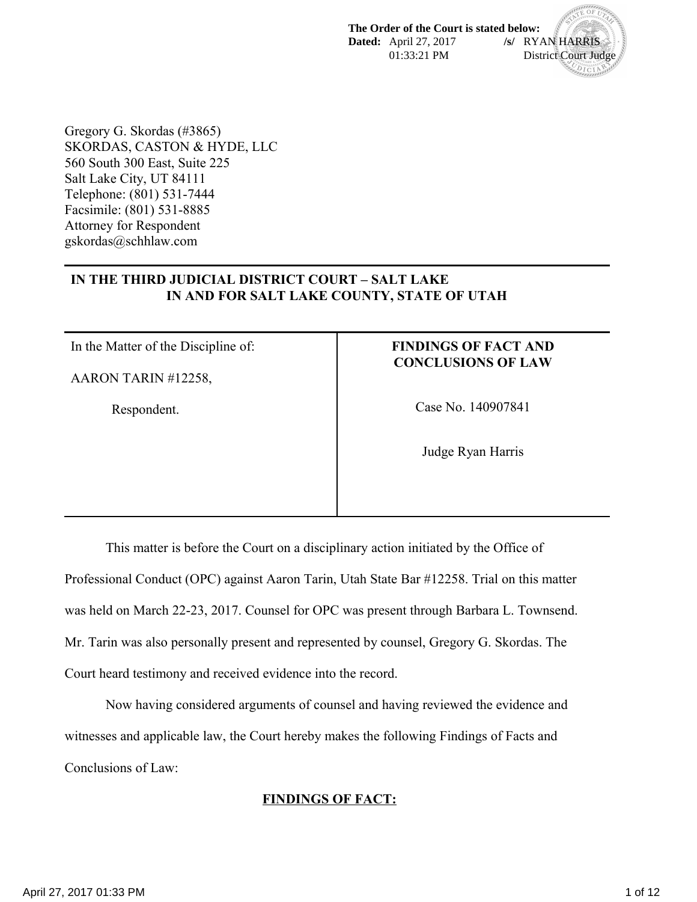**The Order of the Court is stated below: Dated:** April 27, 2017 **/s/** RYAN HARRIS 01:33:21 PM District Court Judge  $D_{\rm ICI}$ 

Gregory G. Skordas (#3865) SKORDAS, CASTON & HYDE, LLC 560 South 300 East, Suite 225 Salt Lake City, UT 84111 Telephone: (801) 531-7444 Facsimile: (801) 531-8885 Attorney for Respondent gskordas@schhlaw.com

### **IN THE THIRD JUDICIAL DISTRICT COURT – SALT LAKE IN AND FOR SALT LAKE COUNTY, STATE OF UTAH**

In the Matter of the Discipline of:

AARON TARIN #12258,

Respondent.

### **FINDINGS OF FACT AND CONCLUSIONS OF LAW**

Case No. 140907841

Judge Ryan Harris

This matter is before the Court on a disciplinary action initiated by the Office of Professional Conduct (OPC) against Aaron Tarin, Utah State Bar #12258. Trial on this matter was held on March 22-23, 2017. Counsel for OPC was present through Barbara L. Townsend. Mr. Tarin was also personally present and represented by counsel, Gregory G. Skordas. The Court heard testimony and received evidence into the record.

Now having considered arguments of counsel and having reviewed the evidence and witnesses and applicable law, the Court hereby makes the following Findings of Facts and Conclusions of Law:

#### **FINDINGS OF FACT:**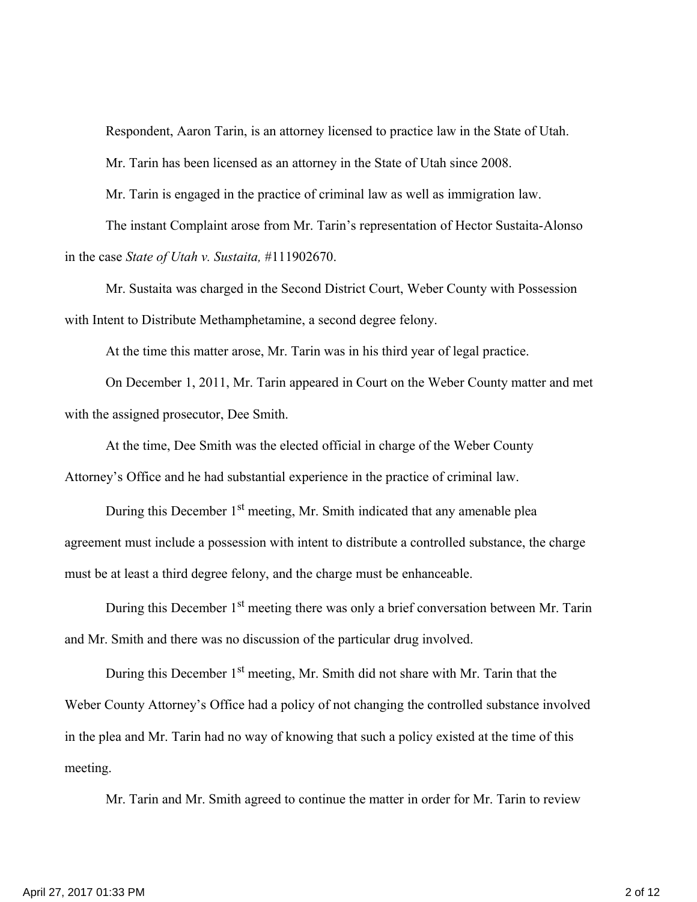Respondent, Aaron Tarin, is an attorney licensed to practice law in the State of Utah.

Mr. Tarin has been licensed as an attorney in the State of Utah since 2008.

Mr. Tarin is engaged in the practice of criminal law as well as immigration law.

The instant Complaint arose from Mr. Tarin's representation of Hector Sustaita-Alonso in the case *State of Utah v. Sustaita,* #111902670.

Mr. Sustaita was charged in the Second District Court, Weber County with Possession with Intent to Distribute Methamphetamine, a second degree felony.

At the time this matter arose, Mr. Tarin was in his third year of legal practice.

On December 1, 2011, Mr. Tarin appeared in Court on the Weber County matter and met with the assigned prosecutor, Dee Smith.

At the time, Dee Smith was the elected official in charge of the Weber County Attorney's Office and he had substantial experience in the practice of criminal law.

During this December 1<sup>st</sup> meeting, Mr. Smith indicated that any amenable plea agreement must include a possession with intent to distribute a controlled substance, the charge must be at least a third degree felony, and the charge must be enhanceable.

During this December 1<sup>st</sup> meeting there was only a brief conversation between Mr. Tarin and Mr. Smith and there was no discussion of the particular drug involved.

During this December  $1<sup>st</sup>$  meeting, Mr. Smith did not share with Mr. Tarin that the Weber County Attorney's Office had a policy of not changing the controlled substance involved in the plea and Mr. Tarin had no way of knowing that such a policy existed at the time of this meeting.

Mr. Tarin and Mr. Smith agreed to continue the matter in order for Mr. Tarin to review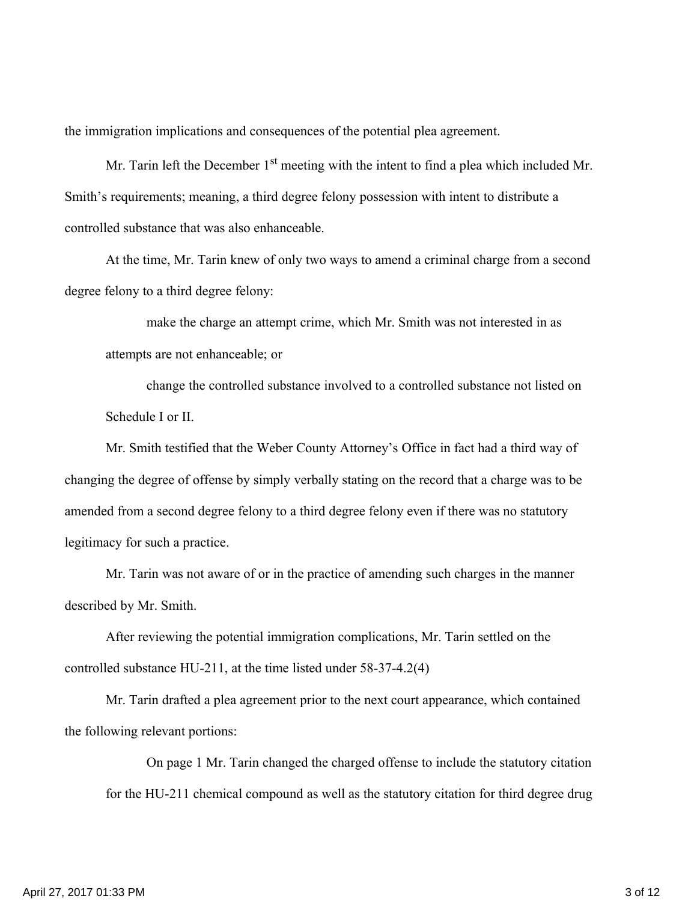the immigration implications and consequences of the potential plea agreement.

Mr. Tarin left the December  $1<sup>st</sup>$  meeting with the intent to find a plea which included Mr. Smith's requirements; meaning, a third degree felony possession with intent to distribute a controlled substance that was also enhanceable.

At the time, Mr. Tarin knew of only two ways to amend a criminal charge from a second degree felony to a third degree felony:

make the charge an attempt crime, which Mr. Smith was not interested in as attempts are not enhanceable; or

change the controlled substance involved to a controlled substance not listed on Schedule I or II.

Mr. Smith testified that the Weber County Attorney's Office in fact had a third way of changing the degree of offense by simply verbally stating on the record that a charge was to be amended from a second degree felony to a third degree felony even if there was no statutory legitimacy for such a practice.

Mr. Tarin was not aware of or in the practice of amending such charges in the manner described by Mr. Smith.

After reviewing the potential immigration complications, Mr. Tarin settled on the controlled substance HU-211, at the time listed under 58-37-4.2(4)

Mr. Tarin drafted a plea agreement prior to the next court appearance, which contained the following relevant portions:

On page 1 Mr. Tarin changed the charged offense to include the statutory citation for the HU-211 chemical compound as well as the statutory citation for third degree drug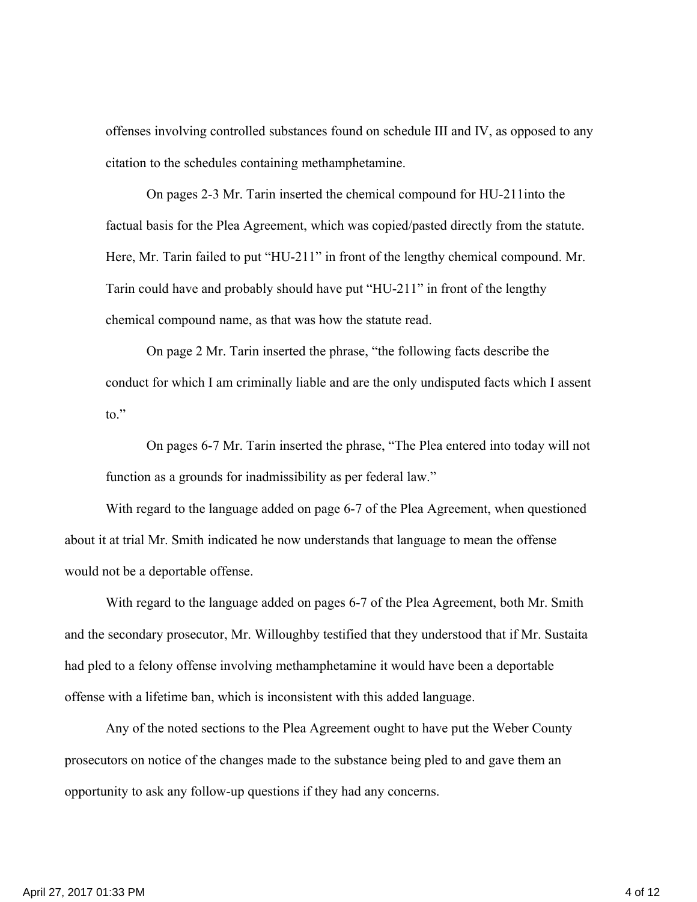offenses involving controlled substances found on schedule III and IV, as opposed to any citation to the schedules containing methamphetamine.

On pages 2-3 Mr. Tarin inserted the chemical compound for HU-211into the factual basis for the Plea Agreement, which was copied/pasted directly from the statute. Here, Mr. Tarin failed to put "HU-211" in front of the lengthy chemical compound. Mr. Tarin could have and probably should have put "HU-211" in front of the lengthy chemical compound name, as that was how the statute read.

On page 2 Mr. Tarin inserted the phrase, "the following facts describe the conduct for which I am criminally liable and are the only undisputed facts which I assent to."

On pages 6-7 Mr. Tarin inserted the phrase, "The Plea entered into today will not function as a grounds for inadmissibility as per federal law."

With regard to the language added on page 6-7 of the Plea Agreement, when questioned about it at trial Mr. Smith indicated he now understands that language to mean the offense would not be a deportable offense.

With regard to the language added on pages 6-7 of the Plea Agreement, both Mr. Smith and the secondary prosecutor, Mr. Willoughby testified that they understood that if Mr. Sustaita had pled to a felony offense involving methamphetamine it would have been a deportable offense with a lifetime ban, which is inconsistent with this added language.

Any of the noted sections to the Plea Agreement ought to have put the Weber County prosecutors on notice of the changes made to the substance being pled to and gave them an opportunity to ask any follow-up questions if they had any concerns.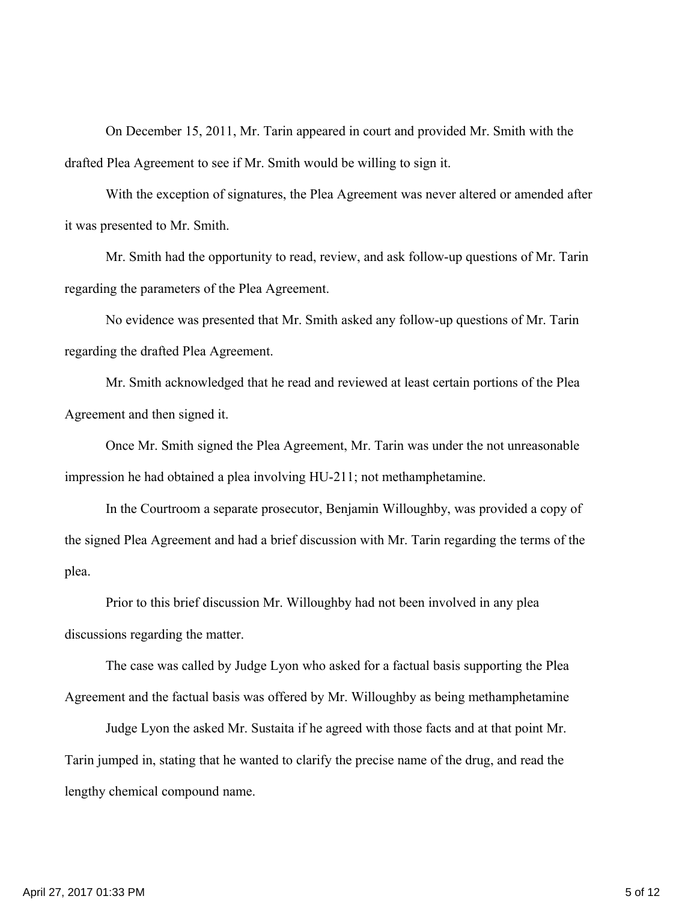On December 15, 2011, Mr. Tarin appeared in court and provided Mr. Smith with the drafted Plea Agreement to see if Mr. Smith would be willing to sign it.

With the exception of signatures, the Plea Agreement was never altered or amended after it was presented to Mr. Smith.

Mr. Smith had the opportunity to read, review, and ask follow-up questions of Mr. Tarin regarding the parameters of the Plea Agreement.

No evidence was presented that Mr. Smith asked any follow-up questions of Mr. Tarin regarding the drafted Plea Agreement.

Mr. Smith acknowledged that he read and reviewed at least certain portions of the Plea Agreement and then signed it.

Once Mr. Smith signed the Plea Agreement, Mr. Tarin was under the not unreasonable impression he had obtained a plea involving HU-211; not methamphetamine.

In the Courtroom a separate prosecutor, Benjamin Willoughby, was provided a copy of the signed Plea Agreement and had a brief discussion with Mr. Tarin regarding the terms of the plea.

Prior to this brief discussion Mr. Willoughby had not been involved in any plea discussions regarding the matter.

The case was called by Judge Lyon who asked for a factual basis supporting the Plea Agreement and the factual basis was offered by Mr. Willoughby as being methamphetamine

Judge Lyon the asked Mr. Sustaita if he agreed with those facts and at that point Mr. Tarin jumped in, stating that he wanted to clarify the precise name of the drug, and read the lengthy chemical compound name.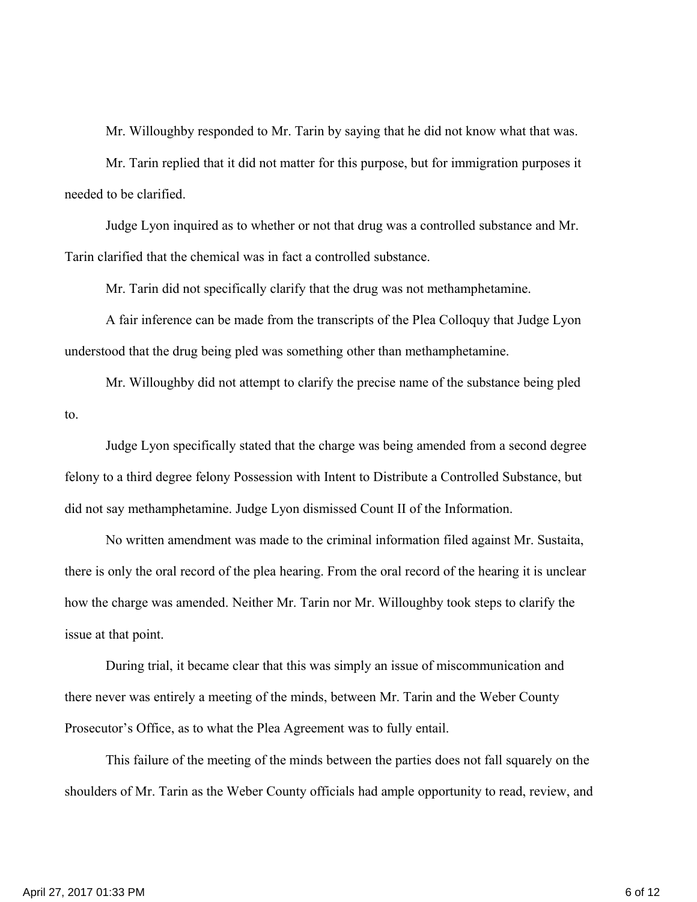Mr. Willoughby responded to Mr. Tarin by saying that he did not know what that was.

Mr. Tarin replied that it did not matter for this purpose, but for immigration purposes it needed to be clarified.

Judge Lyon inquired as to whether or not that drug was a controlled substance and Mr. Tarin clarified that the chemical was in fact a controlled substance.

Mr. Tarin did not specifically clarify that the drug was not methamphetamine.

A fair inference can be made from the transcripts of the Plea Colloquy that Judge Lyon understood that the drug being pled was something other than methamphetamine.

Mr. Willoughby did not attempt to clarify the precise name of the substance being pled to.

Judge Lyon specifically stated that the charge was being amended from a second degree felony to a third degree felony Possession with Intent to Distribute a Controlled Substance, but did not say methamphetamine. Judge Lyon dismissed Count II of the Information.

No written amendment was made to the criminal information filed against Mr. Sustaita, there is only the oral record of the plea hearing. From the oral record of the hearing it is unclear how the charge was amended. Neither Mr. Tarin nor Mr. Willoughby took steps to clarify the issue at that point.

During trial, it became clear that this was simply an issue of miscommunication and there never was entirely a meeting of the minds, between Mr. Tarin and the Weber County Prosecutor's Office, as to what the Plea Agreement was to fully entail.

This failure of the meeting of the minds between the parties does not fall squarely on the shoulders of Mr. Tarin as the Weber County officials had ample opportunity to read, review, and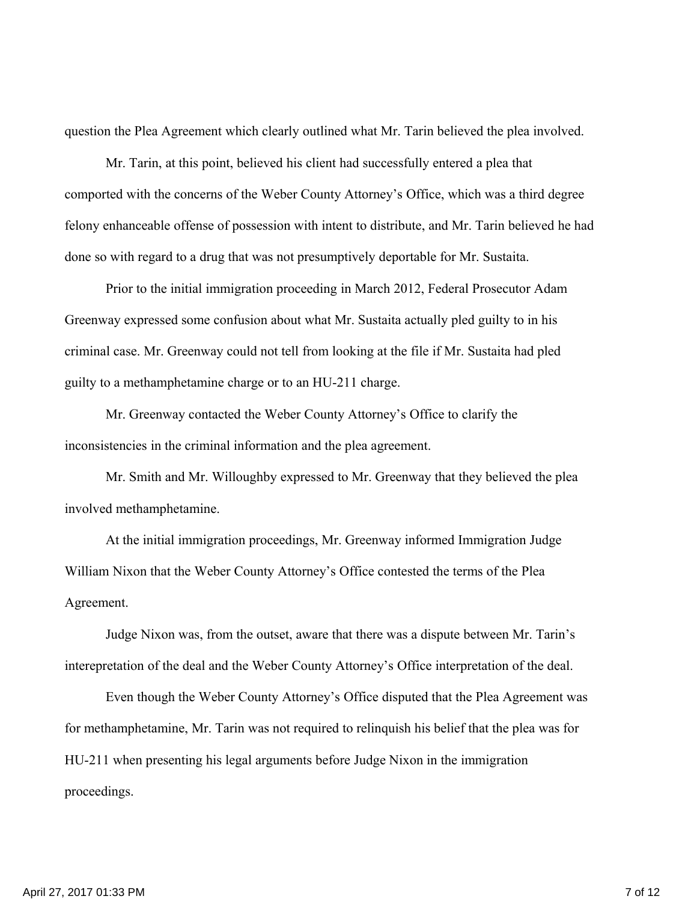question the Plea Agreement which clearly outlined what Mr. Tarin believed the plea involved.

Mr. Tarin, at this point, believed his client had successfully entered a plea that comported with the concerns of the Weber County Attorney's Office, which was a third degree felony enhanceable offense of possession with intent to distribute, and Mr. Tarin believed he had done so with regard to a drug that was not presumptively deportable for Mr. Sustaita.

Prior to the initial immigration proceeding in March 2012, Federal Prosecutor Adam Greenway expressed some confusion about what Mr. Sustaita actually pled guilty to in his criminal case. Mr. Greenway could not tell from looking at the file if Mr. Sustaita had pled guilty to a methamphetamine charge or to an HU-211 charge.

Mr. Greenway contacted the Weber County Attorney's Office to clarify the inconsistencies in the criminal information and the plea agreement.

Mr. Smith and Mr. Willoughby expressed to Mr. Greenway that they believed the plea involved methamphetamine.

At the initial immigration proceedings, Mr. Greenway informed Immigration Judge William Nixon that the Weber County Attorney's Office contested the terms of the Plea Agreement.

Judge Nixon was, from the outset, aware that there was a dispute between Mr. Tarin's interepretation of the deal and the Weber County Attorney's Office interpretation of the deal.

Even though the Weber County Attorney's Office disputed that the Plea Agreement was for methamphetamine, Mr. Tarin was not required to relinquish his belief that the plea was for HU-211 when presenting his legal arguments before Judge Nixon in the immigration proceedings.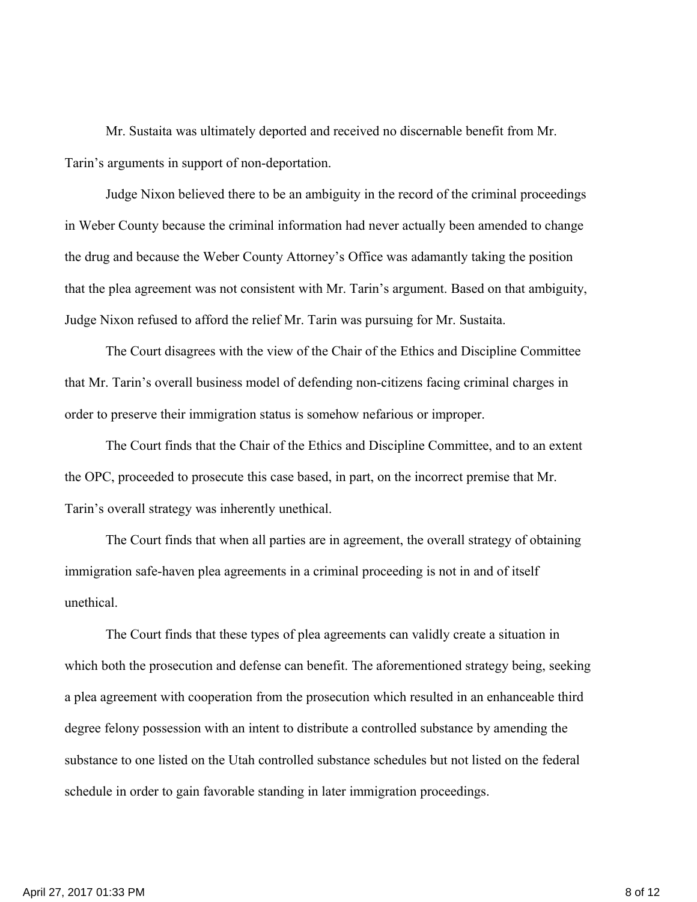Mr. Sustaita was ultimately deported and received no discernable benefit from Mr. Tarin's arguments in support of non-deportation.

Judge Nixon believed there to be an ambiguity in the record of the criminal proceedings in Weber County because the criminal information had never actually been amended to change the drug and because the Weber County Attorney's Office was adamantly taking the position that the plea agreement was not consistent with Mr. Tarin's argument. Based on that ambiguity, Judge Nixon refused to afford the relief Mr. Tarin was pursuing for Mr. Sustaita.

The Court disagrees with the view of the Chair of the Ethics and Discipline Committee that Mr. Tarin's overall business model of defending non-citizens facing criminal charges in order to preserve their immigration status is somehow nefarious or improper.

The Court finds that the Chair of the Ethics and Discipline Committee, and to an extent the OPC, proceeded to prosecute this case based, in part, on the incorrect premise that Mr. Tarin's overall strategy was inherently unethical.

The Court finds that when all parties are in agreement, the overall strategy of obtaining immigration safe-haven plea agreements in a criminal proceeding is not in and of itself unethical.

The Court finds that these types of plea agreements can validly create a situation in which both the prosecution and defense can benefit. The aforementioned strategy being, seeking a plea agreement with cooperation from the prosecution which resulted in an enhanceable third degree felony possession with an intent to distribute a controlled substance by amending the substance to one listed on the Utah controlled substance schedules but not listed on the federal schedule in order to gain favorable standing in later immigration proceedings.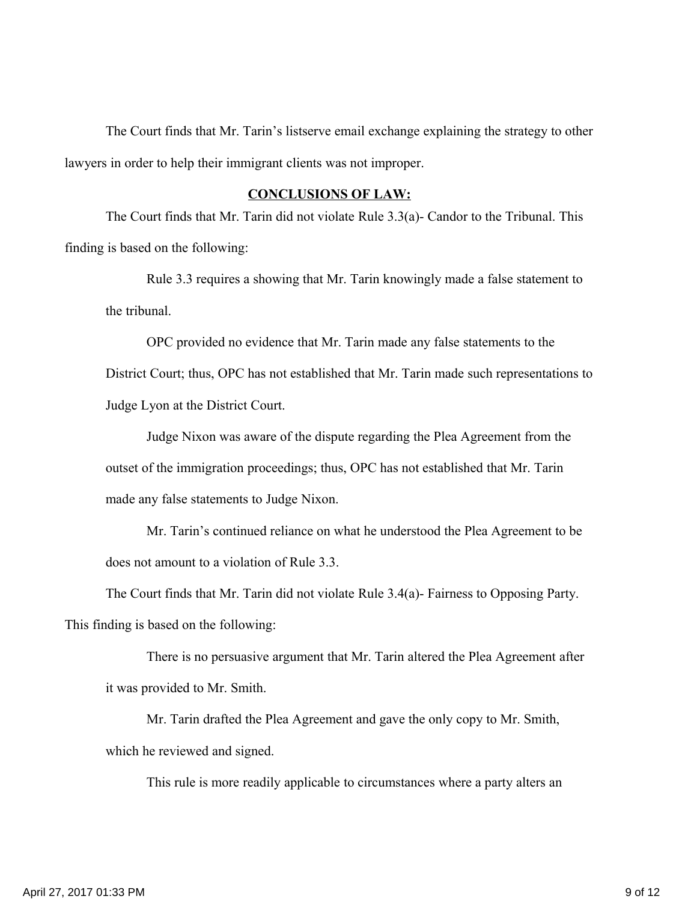The Court finds that Mr. Tarin's listserve email exchange explaining the strategy to other lawyers in order to help their immigrant clients was not improper.

## **CONCLUSIONS OF LAW:**

The Court finds that Mr. Tarin did not violate Rule 3.3(a)- Candor to the Tribunal. This finding is based on the following:

Rule 3.3 requires a showing that Mr. Tarin knowingly made a false statement to the tribunal.

OPC provided no evidence that Mr. Tarin made any false statements to the District Court; thus, OPC has not established that Mr. Tarin made such representations to Judge Lyon at the District Court.

Judge Nixon was aware of the dispute regarding the Plea Agreement from the outset of the immigration proceedings; thus, OPC has not established that Mr. Tarin made any false statements to Judge Nixon.

Mr. Tarin's continued reliance on what he understood the Plea Agreement to be does not amount to a violation of Rule 3.3.

The Court finds that Mr. Tarin did not violate Rule 3.4(a)- Fairness to Opposing Party. This finding is based on the following:

There is no persuasive argument that Mr. Tarin altered the Plea Agreement after it was provided to Mr. Smith.

Mr. Tarin drafted the Plea Agreement and gave the only copy to Mr. Smith, which he reviewed and signed.

This rule is more readily applicable to circumstances where a party alters an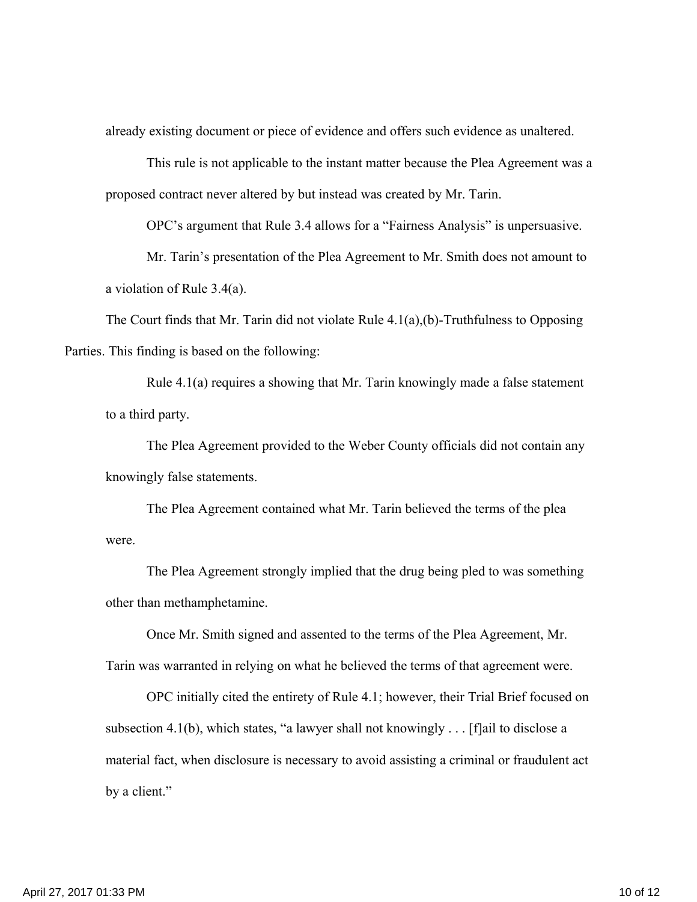already existing document or piece of evidence and offers such evidence as unaltered.

This rule is not applicable to the instant matter because the Plea Agreement was a proposed contract never altered by but instead was created by Mr. Tarin.

OPC's argument that Rule 3.4 allows for a "Fairness Analysis" is unpersuasive.

Mr. Tarin's presentation of the Plea Agreement to Mr. Smith does not amount to a violation of Rule 3.4(a).

The Court finds that Mr. Tarin did not violate Rule 4.1(a),(b)-Truthfulness to Opposing Parties. This finding is based on the following:

Rule 4.1(a) requires a showing that Mr. Tarin knowingly made a false statement to a third party.

The Plea Agreement provided to the Weber County officials did not contain any knowingly false statements.

The Plea Agreement contained what Mr. Tarin believed the terms of the plea were.

The Plea Agreement strongly implied that the drug being pled to was something other than methamphetamine.

Once Mr. Smith signed and assented to the terms of the Plea Agreement, Mr. Tarin was warranted in relying on what he believed the terms of that agreement were.

OPC initially cited the entirety of Rule 4.1; however, their Trial Brief focused on subsection 4.1(b), which states, "a lawyer shall not knowingly . . . [f]ail to disclose a material fact, when disclosure is necessary to avoid assisting a criminal or fraudulent act by a client."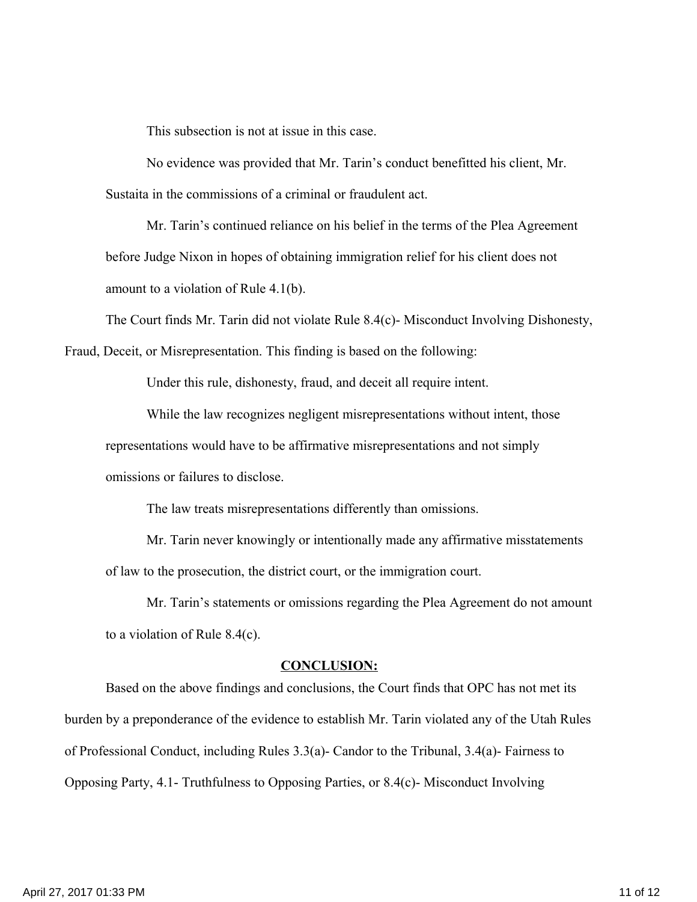This subsection is not at issue in this case.

No evidence was provided that Mr. Tarin's conduct benefitted his client, Mr. Sustaita in the commissions of a criminal or fraudulent act.

Mr. Tarin's continued reliance on his belief in the terms of the Plea Agreement before Judge Nixon in hopes of obtaining immigration relief for his client does not amount to a violation of Rule 4.1(b).

The Court finds Mr. Tarin did not violate Rule 8.4(c)- Misconduct Involving Dishonesty,

Fraud, Deceit, or Misrepresentation. This finding is based on the following:

Under this rule, dishonesty, fraud, and deceit all require intent.

While the law recognizes negligent misrepresentations without intent, those representations would have to be affirmative misrepresentations and not simply omissions or failures to disclose.

The law treats misrepresentations differently than omissions.

Mr. Tarin never knowingly or intentionally made any affirmative misstatements of law to the prosecution, the district court, or the immigration court.

Mr. Tarin's statements or omissions regarding the Plea Agreement do not amount to a violation of Rule 8.4(c).

#### **CONCLUSION:**

Based on the above findings and conclusions, the Court finds that OPC has not met its burden by a preponderance of the evidence to establish Mr. Tarin violated any of the Utah Rules of Professional Conduct, including Rules 3.3(a)- Candor to the Tribunal, 3.4(a)- Fairness to Opposing Party, 4.1- Truthfulness to Opposing Parties, or 8.4(c)- Misconduct Involving